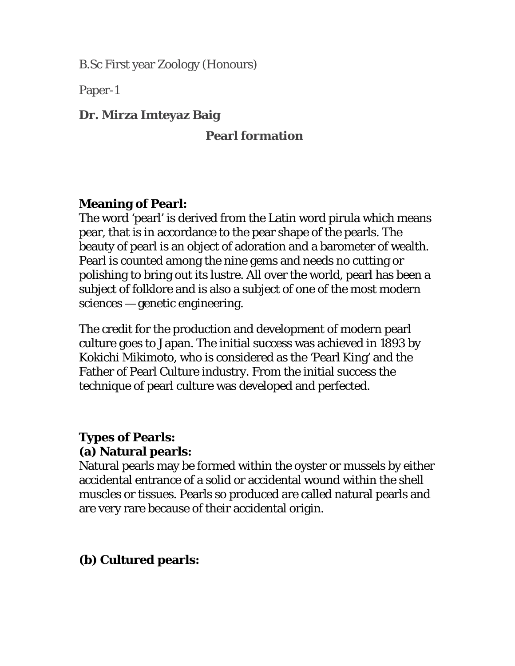B.Sc First year Zoology (Honours)

Paper-1

### **Dr. Mirza Imteyaz Baig**

### **Pearl formation**

### **Meaning of Pearl:**

The word 'pearl' is derived from the Latin word pirula which means pear, that is in accordance to the pear shape of the pearls. The beauty of pearl is an object of adoration and a barometer of wealth. Pearl is counted among the nine gems and needs no cutting or polishing to bring out its lustre. All over the world, pearl has been a subject of folklore and is also a subject of one of the most modern sciences — genetic engineering.

The credit for the production and development of modern pearl culture goes to Japan. The initial success was achieved in 1893 by Kokichi Mikimoto, who is considered as the 'Pearl King' and the Father of Pearl Culture industry. From the initial success the technique of pearl culture was developed and perfected.

#### **Types of Pearls: (a) Natural pearls:**

Natural pearls may be formed within the oyster or mussels by either accidental entrance of a solid or accidental wound within the shell muscles or tissues. Pearls so produced are called natural pearls and are very rare because of their accidental origin.

### **(b) Cultured pearls:**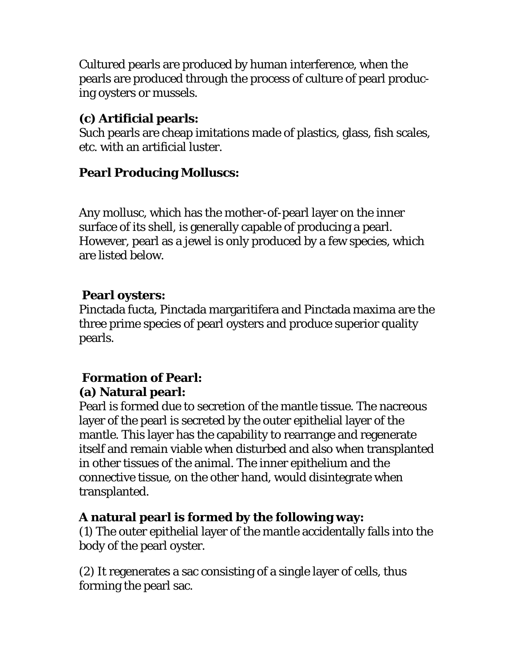Cultured pearls are produced by human interference, when the pearls are produced through the process of culture of pearl producing oysters or mussels.

## **(c) Artificial pearls:**

Such pearls are cheap imitations made of plastics, glass, fish scales, etc. with an artificial luster.

# **Pearl Producing Molluscs:**

Any mollusc, which has the mother-of-pearl layer on the inner surface of its shell, is generally capable of producing a pearl. However, pearl as a jewel is only produced by a few species, which are listed below.

## **Pearl oysters:**

Pinctada fucta, Pinctada margaritifera and Pinctada maxima are the three prime species of pearl oysters and produce superior quality pearls.

# **Formation of Pearl: (a) Natural pearl:**

Pearl is formed due to secretion of the mantle tissue. The nacreous layer of the pearl is secreted by the outer epithelial layer of the mantle. This layer has the capability to rearrange and regenerate itself and remain viable when disturbed and also when transplanted in other tissues of the animal. The inner epithelium and the connective tissue, on the other hand, would disintegrate when transplanted.

## **A natural pearl is formed by the following way:**

(1) The outer epithelial layer of the mantle accidentally falls into the body of the pearl oyster.

(2) It regenerates a sac consisting of a single layer of cells, thus forming the pearl sac.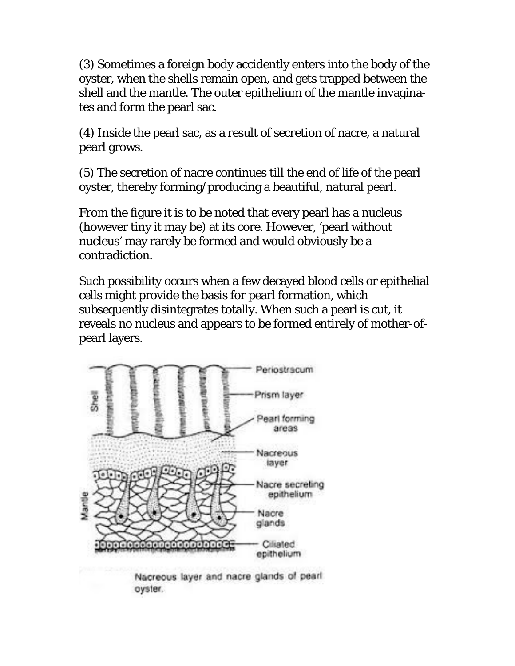(3) Sometimes a foreign body accidently enters into the body of the oyster, when the shells remain open, and gets trapped between the shell and the mantle. The outer epithelium of the mantle invaginates and form the pearl sac.

(4) Inside the pearl sac, as a result of secretion of nacre, a natural pearl grows.

(5) The secretion of nacre continues till the end of life of the pearl oyster, thereby forming/producing a beautiful, natural pearl.

From the figure it is to be noted that every pearl has a nucleus (however tiny it may be) at its core. However, 'pearl without nucleus' may rarely be formed and would obviously be a contradiction.

Such possibility occurs when a few decayed blood cells or epithelial cells might provide the basis for pearl formation, which subsequently disintegrates totally. When such a pearl is cut, it reveals no nucleus and appears to be formed entirely of mother-ofpearl layers.



Nacreous layer and nacre glands of pearl oyster.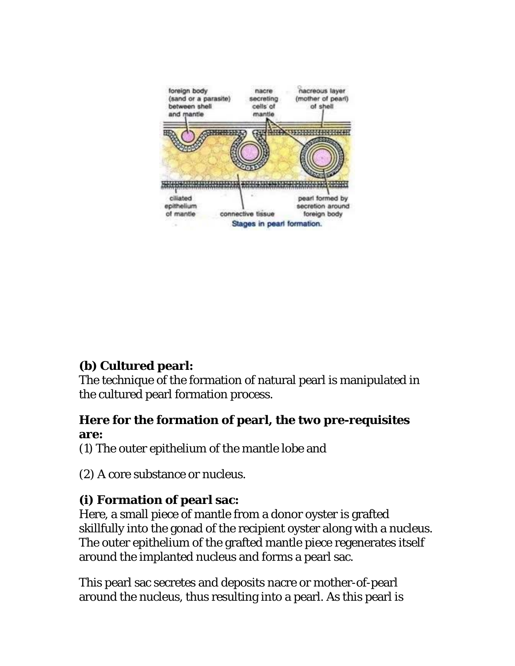

## **(b) Cultured pearl:**

The technique of the formation of natural pearl is manipulated in the cultured pearl formation process.

### **Here for the formation of pearl, the two pre-requisites are:**

(1) The outer epithelium of the mantle lobe and

(2) A core substance or nucleus.

# **(i) Formation of pearl sac:**

Here, a small piece of mantle from a donor oyster is grafted skillfully into the gonad of the recipient oyster along with a nucleus. The outer epithelium of the grafted mantle piece regenerates itself around the implanted nucleus and forms a pearl sac.

This pearl sac secretes and deposits nacre or mother-of-pearl around the nucleus, thus resulting into a pearl. As this pearl is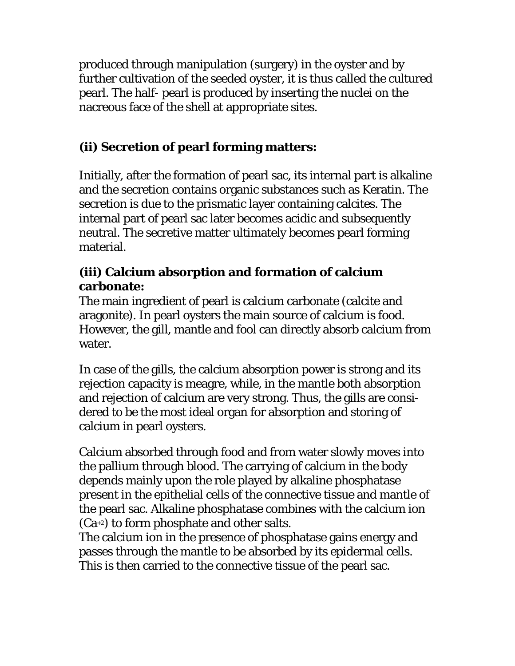produced through manipulation (surgery) in the oyster and by further cultivation of the seeded oyster, it is thus called the cultured pearl. The half- pearl is produced by inserting the nuclei on the nacreous face of the shell at appropriate sites.

# **(ii) Secretion of pearl forming matters:**

Initially, after the formation of pearl sac, its internal part is alkaline and the secretion contains organic substances such as Keratin. The secretion is due to the prismatic layer containing calcites. The internal part of pearl sac later becomes acidic and subsequently neutral. The secretive matter ultimately becomes pearl forming material.

## **(iii) Calcium absorption and formation of calcium carbonate:**

The main ingredient of pearl is calcium carbonate (calcite and aragonite). In pearl oysters the main source of calcium is food. However, the gill, mantle and fool can directly absorb calcium from water.

In case of the gills, the calcium absorption power is strong and its rejection capacity is meagre, while, in the mantle both absorption and rejection of calcium are very strong. Thus, the gills are considered to be the most ideal organ for absorption and storing of calcium in pearl oysters.

Calcium absorbed through food and from water slowly moves into the pallium through blood. The carrying of calcium in the body depends mainly upon the role played by alkaline phosphatase present in the epithelial cells of the connective tissue and mantle of the pearl sac. Alkaline phosphatase combines with the calcium ion (Ca+2) to form phosphate and other salts.

The calcium ion in the presence of phosphatase gains energy and passes through the mantle to be absorbed by its epidermal cells. This is then carried to the connective tissue of the pearl sac.